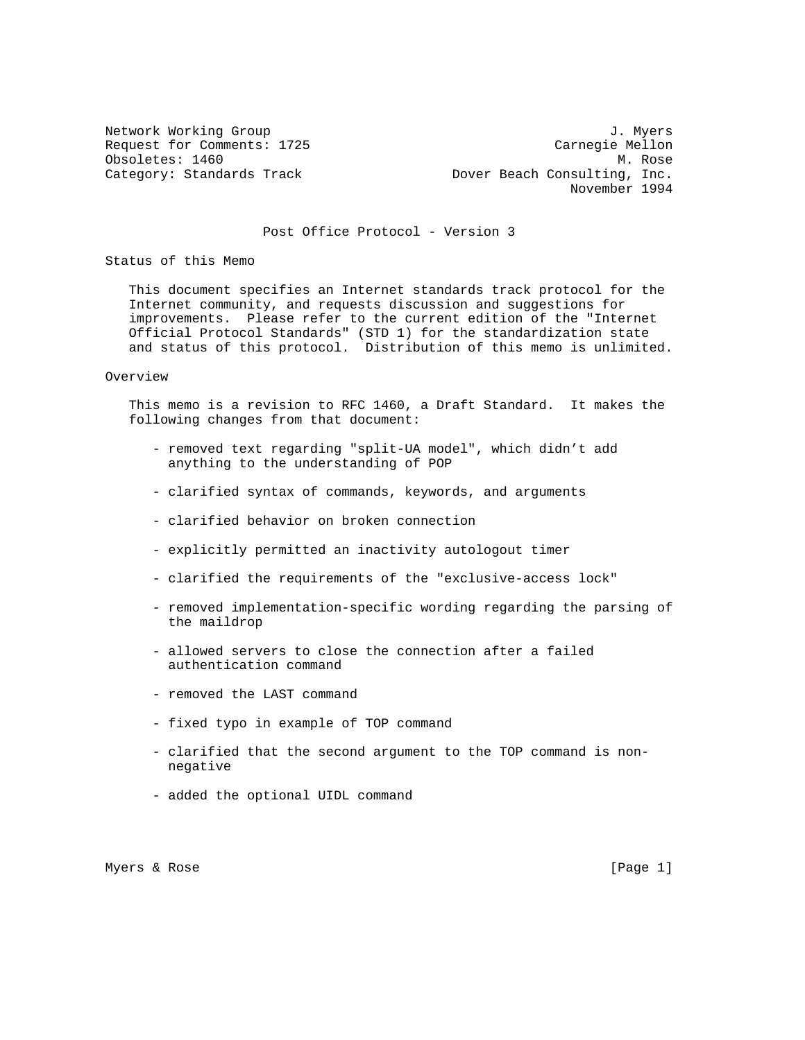Network Working Group 3. 2008 3. Myers 3. Myers 3. Myers 3. Myers 3. Myers 3. Myers 3. Myers 3. Myers 3. Myers Request for Comments: 1725 Carnegie Mellon Obsoletes: 1460 M. Rose Category: Standards Track Track Dover Beach Consulting, Inc. November 1994

# Post Office Protocol - Version 3

Status of this Memo

 This document specifies an Internet standards track protocol for the Internet community, and requests discussion and suggestions for improvements. Please refer to the current edition of the "Internet Official Protocol Standards" (STD 1) for the standardization state and status of this protocol. Distribution of this memo is unlimited.

### Overview

 This memo is a revision to RFC 1460, a Draft Standard. It makes the following changes from that document:

- removed text regarding "split-UA model", which didn't add anything to the understanding of POP
- clarified syntax of commands, keywords, and arguments
- clarified behavior on broken connection
- explicitly permitted an inactivity autologout timer
- clarified the requirements of the "exclusive-access lock"
- removed implementation-specific wording regarding the parsing of the maildrop
- allowed servers to close the connection after a failed authentication command
- removed the LAST command
- fixed typo in example of TOP command
- clarified that the second argument to the TOP command is non negative
- added the optional UIDL command

Myers & Rose [Page 1]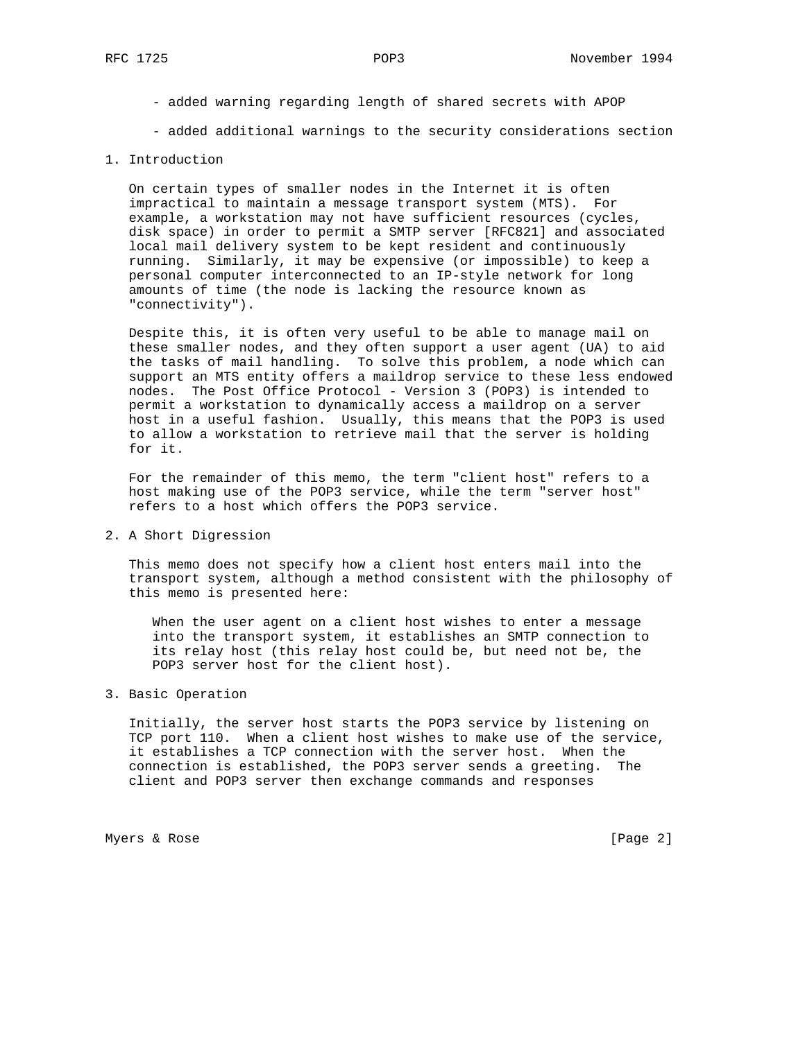- added warning regarding length of shared secrets with APOP
- added additional warnings to the security considerations section

## 1. Introduction

 On certain types of smaller nodes in the Internet it is often impractical to maintain a message transport system (MTS). For example, a workstation may not have sufficient resources (cycles, disk space) in order to permit a SMTP server [RFC821] and associated local mail delivery system to be kept resident and continuously running. Similarly, it may be expensive (or impossible) to keep a personal computer interconnected to an IP-style network for long amounts of time (the node is lacking the resource known as "connectivity").

 Despite this, it is often very useful to be able to manage mail on these smaller nodes, and they often support a user agent (UA) to aid the tasks of mail handling. To solve this problem, a node which can support an MTS entity offers a maildrop service to these less endowed nodes. The Post Office Protocol - Version 3 (POP3) is intended to permit a workstation to dynamically access a maildrop on a server host in a useful fashion. Usually, this means that the POP3 is used to allow a workstation to retrieve mail that the server is holding for it.

 For the remainder of this memo, the term "client host" refers to a host making use of the POP3 service, while the term "server host" refers to a host which offers the POP3 service.

## 2. A Short Digression

 This memo does not specify how a client host enters mail into the transport system, although a method consistent with the philosophy of this memo is presented here:

 When the user agent on a client host wishes to enter a message into the transport system, it establishes an SMTP connection to its relay host (this relay host could be, but need not be, the POP3 server host for the client host).

# 3. Basic Operation

 Initially, the server host starts the POP3 service by listening on TCP port 110. When a client host wishes to make use of the service, it establishes a TCP connection with the server host. When the connection is established, the POP3 server sends a greeting. The client and POP3 server then exchange commands and responses

Myers & Rose [Page 2]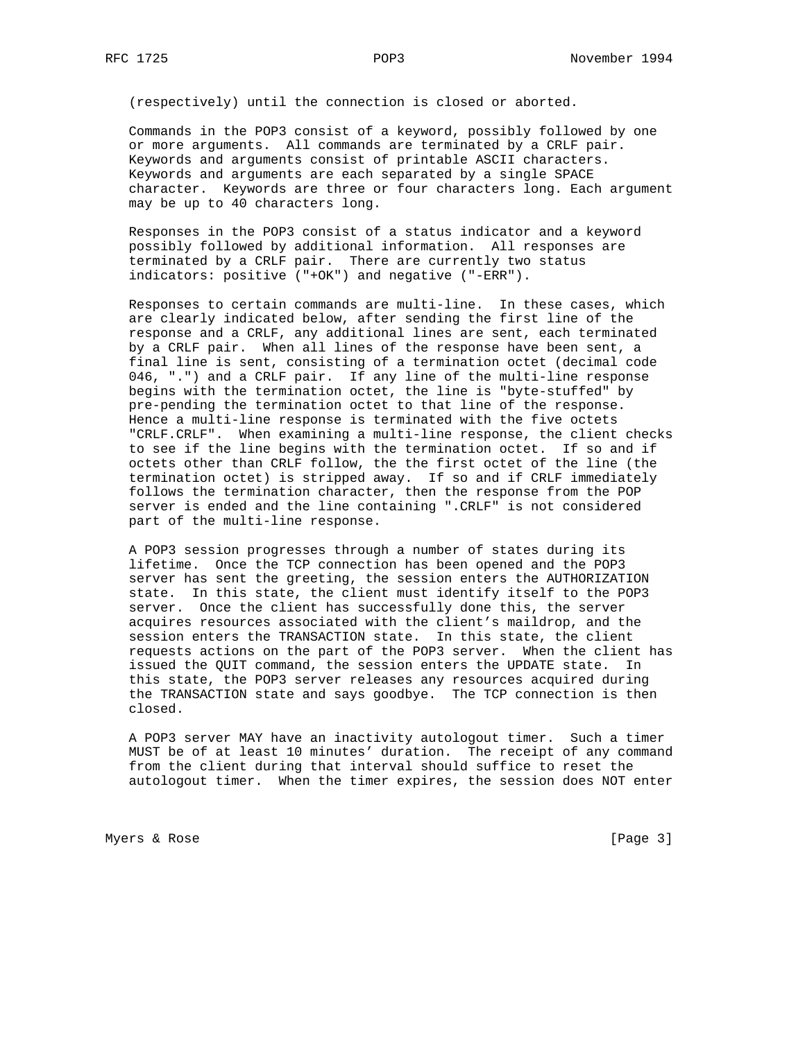(respectively) until the connection is closed or aborted.

 Commands in the POP3 consist of a keyword, possibly followed by one or more arguments. All commands are terminated by a CRLF pair. Keywords and arguments consist of printable ASCII characters. Keywords and arguments are each separated by a single SPACE character. Keywords are three or four characters long. Each argument may be up to 40 characters long.

 Responses in the POP3 consist of a status indicator and a keyword possibly followed by additional information. All responses are terminated by a CRLF pair. There are currently two status indicators: positive ("+OK") and negative ("-ERR").

 Responses to certain commands are multi-line. In these cases, which are clearly indicated below, after sending the first line of the response and a CRLF, any additional lines are sent, each terminated by a CRLF pair. When all lines of the response have been sent, a final line is sent, consisting of a termination octet (decimal code 046, ".") and a CRLF pair. If any line of the multi-line response begins with the termination octet, the line is "byte-stuffed" by pre-pending the termination octet to that line of the response. Hence a multi-line response is terminated with the five octets "CRLF.CRLF". When examining a multi-line response, the client checks to see if the line begins with the termination octet. If so and if octets other than CRLF follow, the the first octet of the line (the termination octet) is stripped away. If so and if CRLF immediately follows the termination character, then the response from the POP server is ended and the line containing ".CRLF" is not considered part of the multi-line response.

 A POP3 session progresses through a number of states during its lifetime. Once the TCP connection has been opened and the POP3 server has sent the greeting, the session enters the AUTHORIZATION state. In this state, the client must identify itself to the POP3 server. Once the client has successfully done this, the server acquires resources associated with the client's maildrop, and the session enters the TRANSACTION state. In this state, the client requests actions on the part of the POP3 server. When the client has issued the QUIT command, the session enters the UPDATE state. In this state, the POP3 server releases any resources acquired during the TRANSACTION state and says goodbye. The TCP connection is then closed.

 A POP3 server MAY have an inactivity autologout timer. Such a timer MUST be of at least 10 minutes' duration. The receipt of any command from the client during that interval should suffice to reset the autologout timer. When the timer expires, the session does NOT enter

Myers & Rose [Page 3]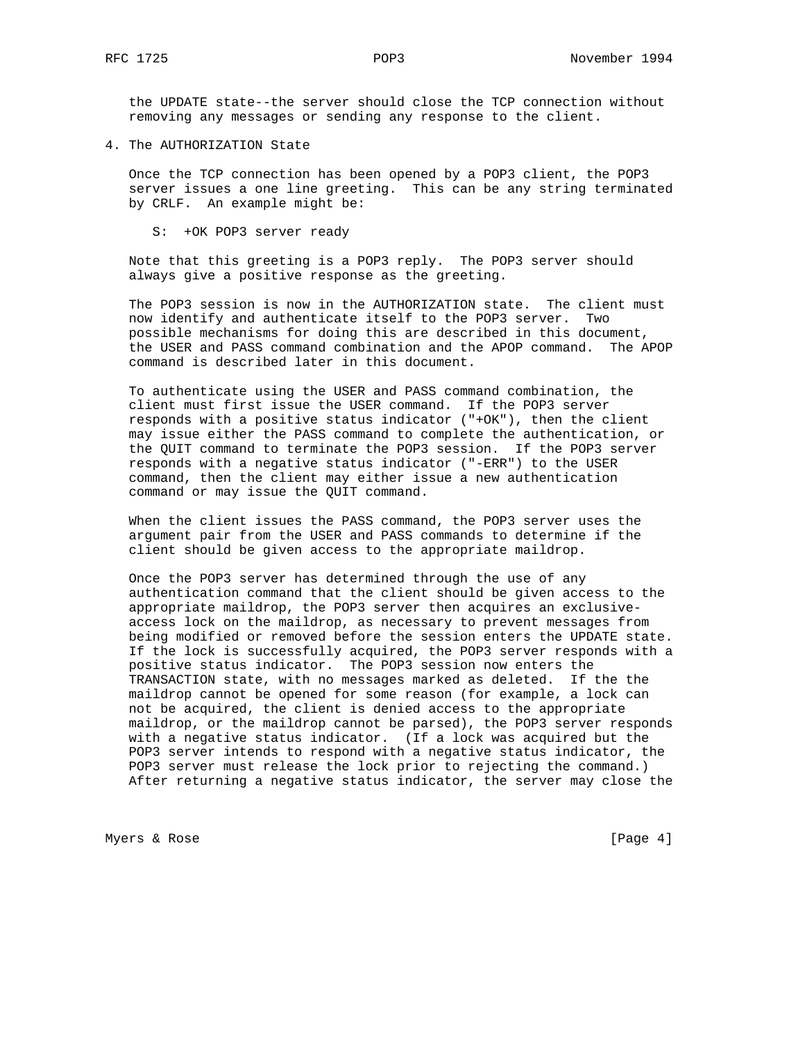the UPDATE state--the server should close the TCP connection without removing any messages or sending any response to the client.

4. The AUTHORIZATION State

 Once the TCP connection has been opened by a POP3 client, the POP3 server issues a one line greeting. This can be any string terminated by CRLF. An example might be:

S: +OK POP3 server ready

 Note that this greeting is a POP3 reply. The POP3 server should always give a positive response as the greeting.

 The POP3 session is now in the AUTHORIZATION state. The client must now identify and authenticate itself to the POP3 server. Two possible mechanisms for doing this are described in this document, the USER and PASS command combination and the APOP command. The APOP command is described later in this document.

 To authenticate using the USER and PASS command combination, the client must first issue the USER command. If the POP3 server responds with a positive status indicator ("+OK"), then the client may issue either the PASS command to complete the authentication, or the QUIT command to terminate the POP3 session. If the POP3 server responds with a negative status indicator ("-ERR") to the USER command, then the client may either issue a new authentication command or may issue the QUIT command.

 When the client issues the PASS command, the POP3 server uses the argument pair from the USER and PASS commands to determine if the client should be given access to the appropriate maildrop.

 Once the POP3 server has determined through the use of any authentication command that the client should be given access to the appropriate maildrop, the POP3 server then acquires an exclusive access lock on the maildrop, as necessary to prevent messages from being modified or removed before the session enters the UPDATE state. If the lock is successfully acquired, the POP3 server responds with a positive status indicator. The POP3 session now enters the TRANSACTION state, with no messages marked as deleted. If the the maildrop cannot be opened for some reason (for example, a lock can not be acquired, the client is denied access to the appropriate maildrop, or the maildrop cannot be parsed), the POP3 server responds with a negative status indicator. (If a lock was acquired but the POP3 server intends to respond with a negative status indicator, the POP3 server must release the lock prior to rejecting the command.) After returning a negative status indicator, the server may close the

Myers & Rose [Page 4]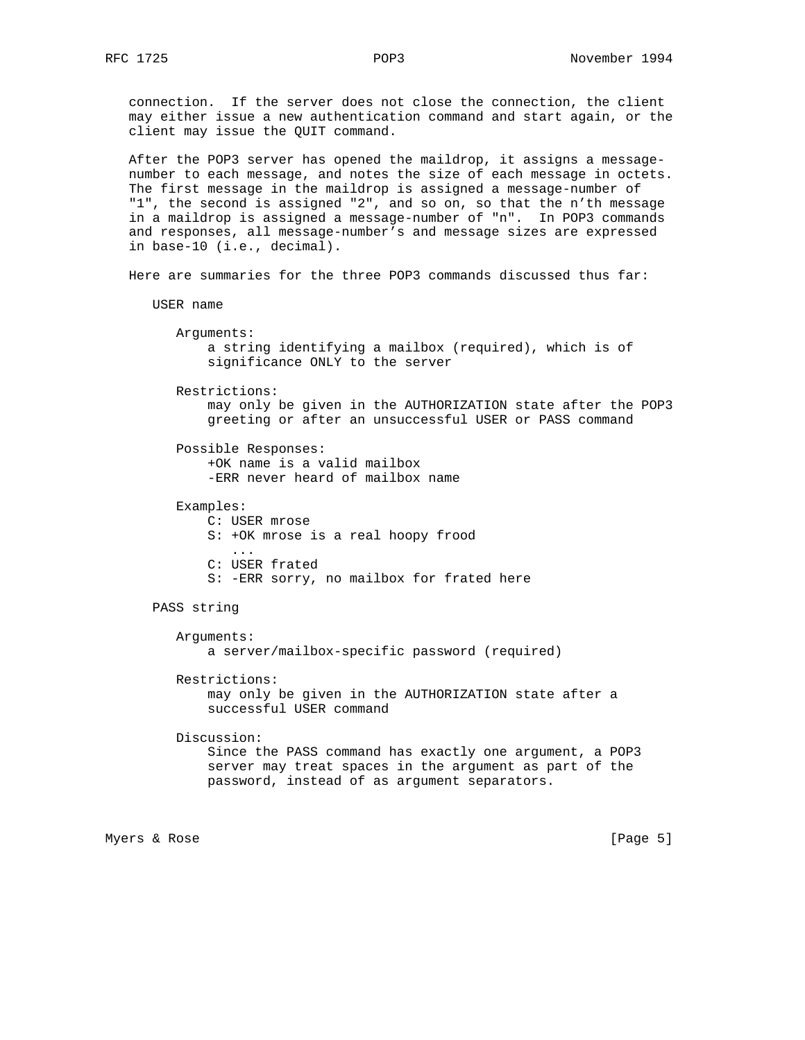connection. If the server does not close the connection, the client may either issue a new authentication command and start again, or the client may issue the QUIT command.

 After the POP3 server has opened the maildrop, it assigns a message number to each message, and notes the size of each message in octets. The first message in the maildrop is assigned a message-number of "1", the second is assigned "2", and so on, so that the n'th message in a maildrop is assigned a message-number of "n". In POP3 commands and responses, all message-number's and message sizes are expressed in base-10 (i.e., decimal).

Here are summaries for the three POP3 commands discussed thus far:

```
 USER name
```
 Arguments: a string identifying a mailbox (required), which is of significance ONLY to the server

 Restrictions: may only be given in the AUTHORIZATION state after the POP3 greeting or after an unsuccessful USER or PASS command

 Possible Responses: +OK name is a valid mailbox -ERR never heard of mailbox name

 Examples: C: USER mrose S: +OK mrose is a real hoopy frood ... C: USER frated S: -ERR sorry, no mailbox for frated here

PASS string

```
 Arguments:
     a server/mailbox-specific password (required)
```
 Restrictions: may only be given in the AUTHORIZATION state after a successful USER command

 Discussion: Since the PASS command has exactly one argument, a POP3 server may treat spaces in the argument as part of the password, instead of as argument separators.

Myers & Rose [Page 5]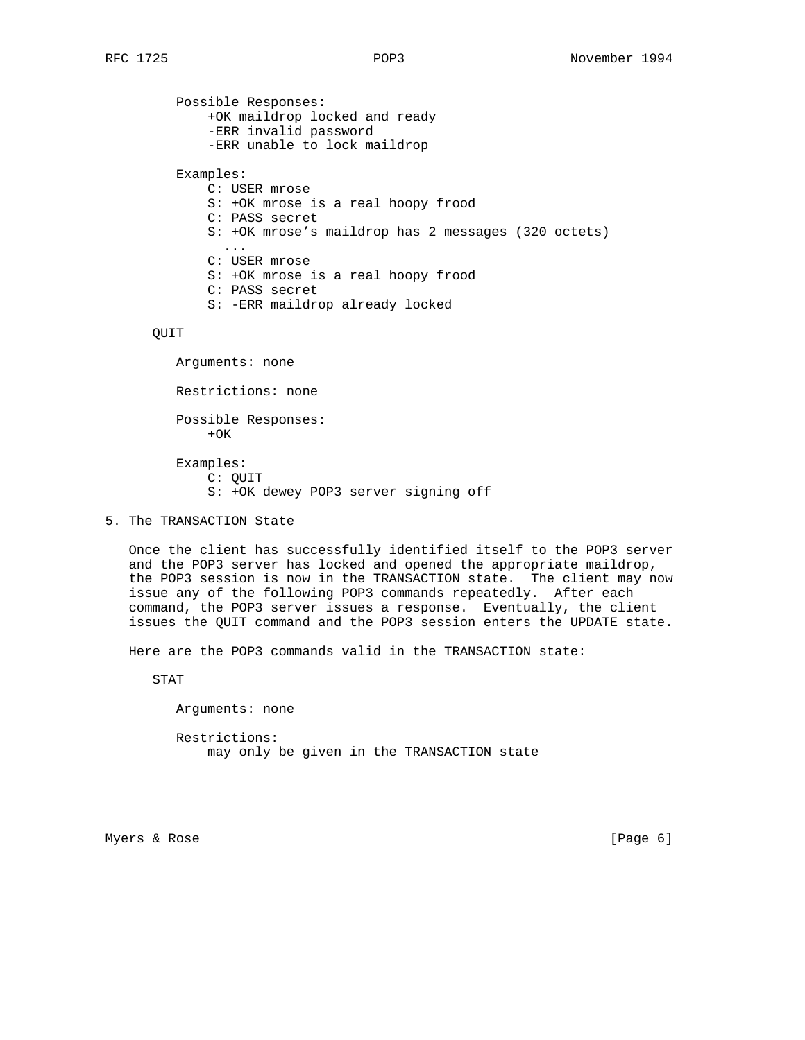Possible Responses: +OK maildrop locked and ready -ERR invalid password -ERR unable to lock maildrop Examples: C: USER mrose S: +OK mrose is a real hoopy frood C: PASS secret S: +OK mrose's maildrop has 2 messages (320 octets) ... C: USER mrose S: +OK mrose is a real hoopy frood C: PASS secret S: -ERR maildrop already locked

QUIT

 Arguments: none Restrictions: none Possible Responses:  $+OK$  Examples: C: QUIT S: +OK dewey POP3 server signing off

5. The TRANSACTION State

 Once the client has successfully identified itself to the POP3 server and the POP3 server has locked and opened the appropriate maildrop, the POP3 session is now in the TRANSACTION state. The client may now issue any of the following POP3 commands repeatedly. After each command, the POP3 server issues a response. Eventually, the client issues the QUIT command and the POP3 session enters the UPDATE state.

Here are the POP3 commands valid in the TRANSACTION state:

STAT

Arguments: none

 Restrictions: may only be given in the TRANSACTION state

Myers & Rose [Page 6]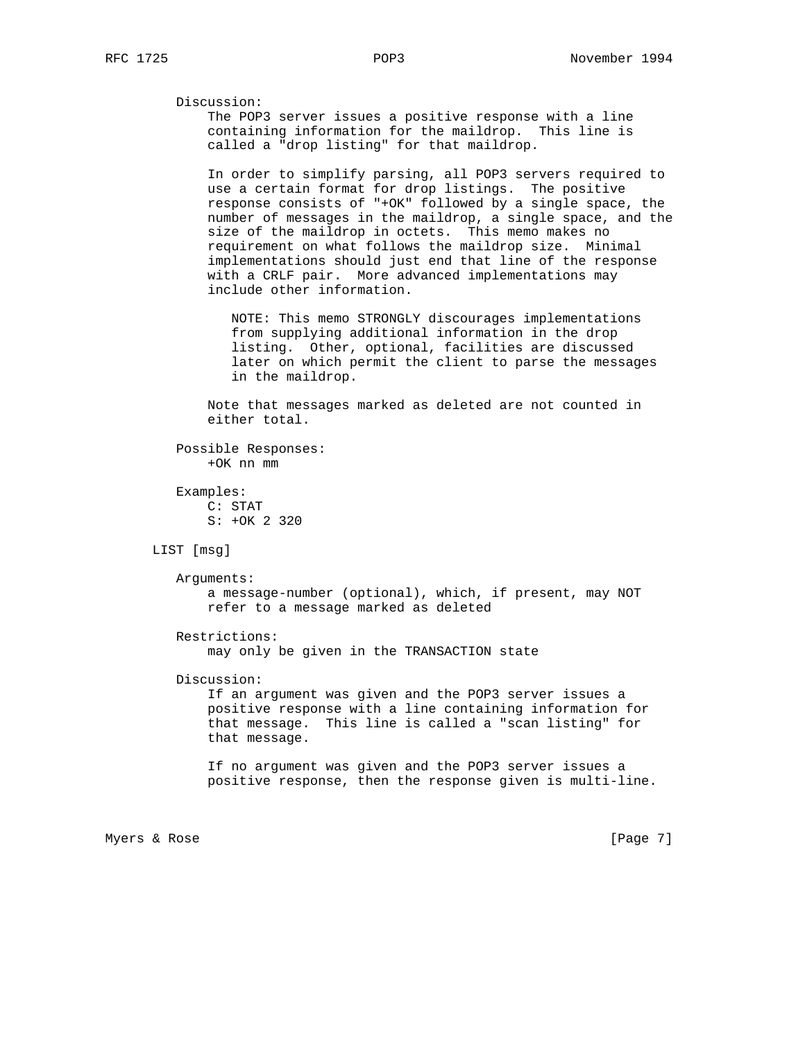Discussion:

 The POP3 server issues a positive response with a line containing information for the maildrop. This line is called a "drop listing" for that maildrop.

 In order to simplify parsing, all POP3 servers required to use a certain format for drop listings. The positive response consists of "+OK" followed by a single space, the number of messages in the maildrop, a single space, and the size of the maildrop in octets. This memo makes no requirement on what follows the maildrop size. Minimal implementations should just end that line of the response with a CRLF pair. More advanced implementations may include other information.

 NOTE: This memo STRONGLY discourages implementations from supplying additional information in the drop listing. Other, optional, facilities are discussed later on which permit the client to parse the messages in the maildrop.

 Note that messages marked as deleted are not counted in either total.

 Possible Responses: +OK nn mm

 Examples: C: STAT S: +OK 2 320

LIST [msg]

 Arguments: a message-number (optional), which, if present, may NOT refer to a message marked as deleted

 Restrictions: may only be given in the TRANSACTION state

Discussion:

 If an argument was given and the POP3 server issues a positive response with a line containing information for that message. This line is called a "scan listing" for that message.

 If no argument was given and the POP3 server issues a positive response, then the response given is multi-line.

Myers & Rose [Page 7]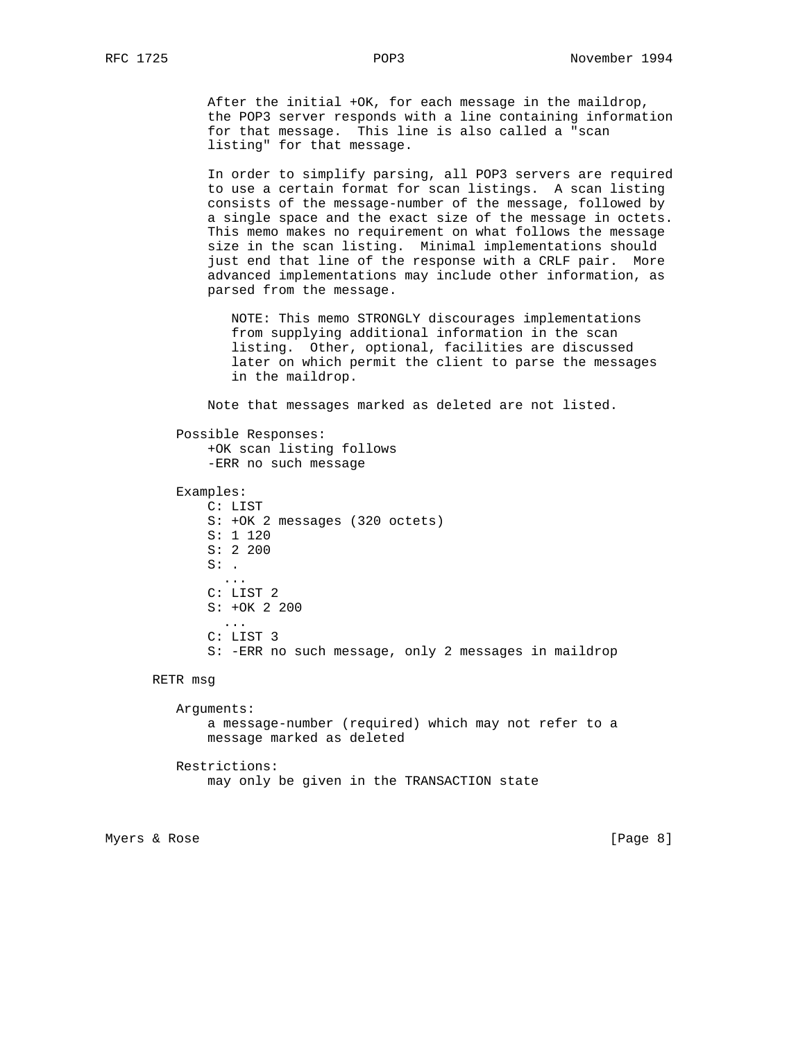After the initial +OK, for each message in the maildrop, the POP3 server responds with a line containing information for that message. This line is also called a "scan listing" for that message.

 In order to simplify parsing, all POP3 servers are required to use a certain format for scan listings. A scan listing consists of the message-number of the message, followed by a single space and the exact size of the message in octets. This memo makes no requirement on what follows the message size in the scan listing. Minimal implementations should just end that line of the response with a CRLF pair. More advanced implementations may include other information, as parsed from the message.

 NOTE: This memo STRONGLY discourages implementations from supplying additional information in the scan listing. Other, optional, facilities are discussed later on which permit the client to parse the messages in the maildrop.

Note that messages marked as deleted are not listed.

 Possible Responses: +OK scan listing follows -ERR no such message

```
 Examples:
```

```
 C: LIST
            S: +OK 2 messages (320 octets)
            S: 1 120
            S: 2 200
           S: .
 ...
            C: LIST 2
            S: +OK 2 200
 ...
            C: LIST 3
            S: -ERR no such message, only 2 messages in maildrop
```
RETR msg

 Arguments: a message-number (required) which may not refer to a message marked as deleted Restrictions:

```
 may only be given in the TRANSACTION state
```
Myers & Rose [Page 8]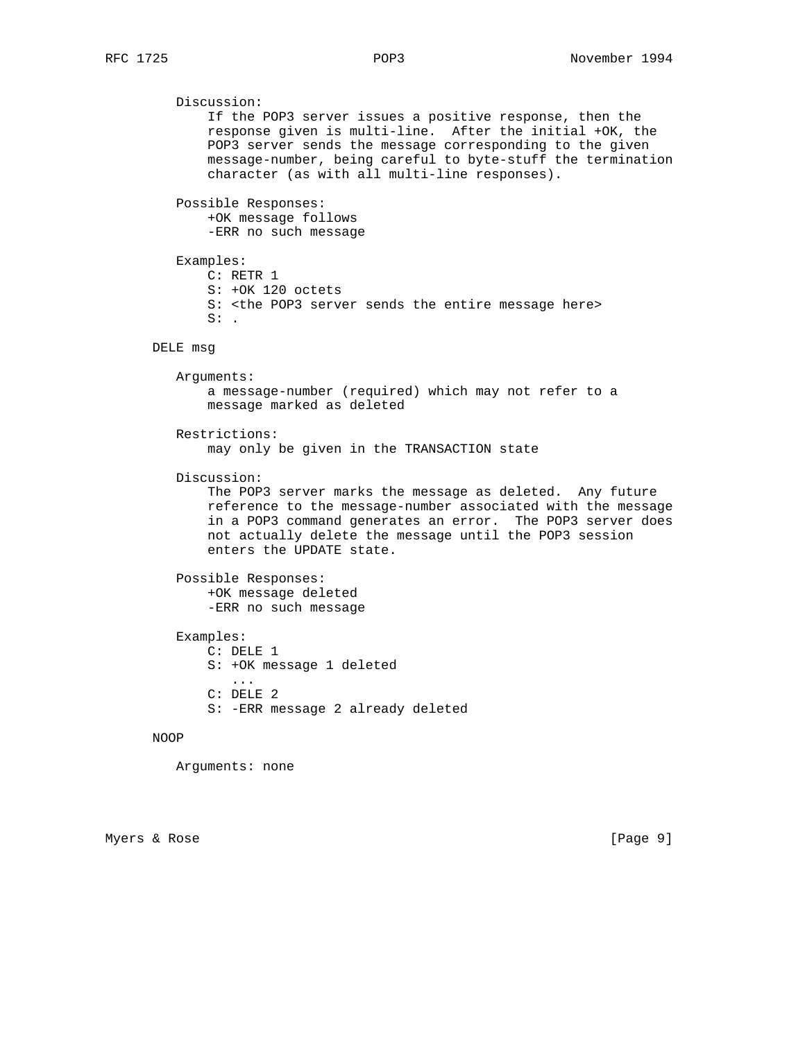Discussion: If the POP3 server issues a positive response, then the response given is multi-line. After the initial +OK, the POP3 server sends the message corresponding to the given message-number, being careful to byte-stuff the termination character (as with all multi-line responses). Possible Responses: +OK message follows -ERR no such message Examples: C: RETR 1 S: +OK 120 octets S: <the POP3 server sends the entire message here>  $S:$ . DELE msg Arguments: a message-number (required) which may not refer to a message marked as deleted Restrictions: may only be given in the TRANSACTION state Discussion: The POP3 server marks the message as deleted. Any future reference to the message-number associated with the message in a POP3 command generates an error. The POP3 server does not actually delete the message until the POP3 session enters the UPDATE state. Possible Responses: +OK message deleted -ERR no such message Examples: C: DELE 1 S: +OK message 1 deleted ... C: DELE 2 S: -ERR message 2 already deleted

## NOOP

Arguments: none

Myers & Rose [Page 9]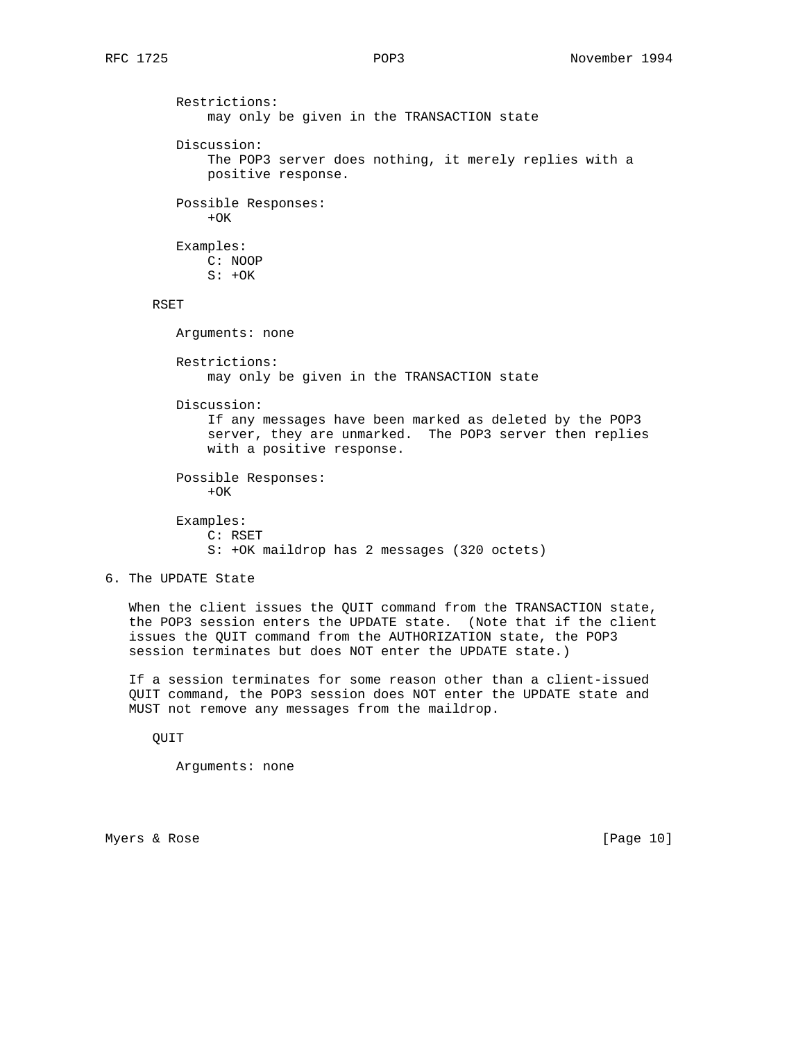Restrictions: may only be given in the TRANSACTION state Discussion: The POP3 server does nothing, it merely replies with a positive response. Possible Responses:  $+OK$  Examples: C: NOOP  $S: +OK$  RSET Arguments: none Restrictions: may only be given in the TRANSACTION state Discussion: If any messages have been marked as deleted by the POP3 server, they are unmarked. The POP3 server then replies with a positive response. Possible Responses:  $+OK$  Examples: C: RSET S: +OK maildrop has 2 messages (320 octets)

6. The UPDATE State

 When the client issues the QUIT command from the TRANSACTION state, the POP3 session enters the UPDATE state. (Note that if the client issues the QUIT command from the AUTHORIZATION state, the POP3 session terminates but does NOT enter the UPDATE state.)

 If a session terminates for some reason other than a client-issued QUIT command, the POP3 session does NOT enter the UPDATE state and MUST not remove any messages from the maildrop.

QUIT

Arguments: none

Myers & Rose [Page 10]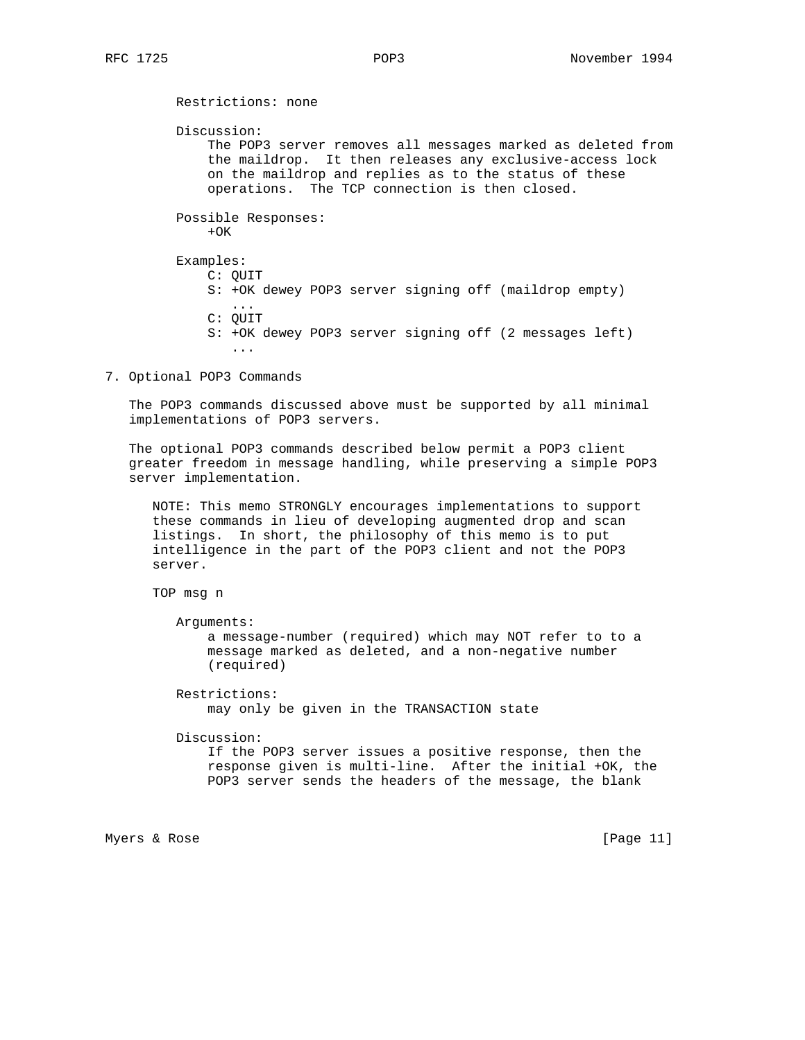Restrictions: none Discussion: The POP3 server removes all messages marked as deleted from the maildrop. It then releases any exclusive-access lock on the maildrop and replies as to the status of these operations. The TCP connection is then closed. Possible Responses:  $+OK$  Examples: C: QUIT S: +OK dewey POP3 server signing off (maildrop empty) ... C: QUIT S: +OK dewey POP3 server signing off (2 messages left) ...

7. Optional POP3 Commands

 The POP3 commands discussed above must be supported by all minimal implementations of POP3 servers.

 The optional POP3 commands described below permit a POP3 client greater freedom in message handling, while preserving a simple POP3 server implementation.

 NOTE: This memo STRONGLY encourages implementations to support these commands in lieu of developing augmented drop and scan listings. In short, the philosophy of this memo is to put intelligence in the part of the POP3 client and not the POP3 server.

TOP msg n

Arguments:

 a message-number (required) which may NOT refer to to a message marked as deleted, and a non-negative number (required)

 Restrictions: may only be given in the TRANSACTION state

Discussion:

 If the POP3 server issues a positive response, then the response given is multi-line. After the initial +OK, the POP3 server sends the headers of the message, the blank

Myers & Rose [Page 11]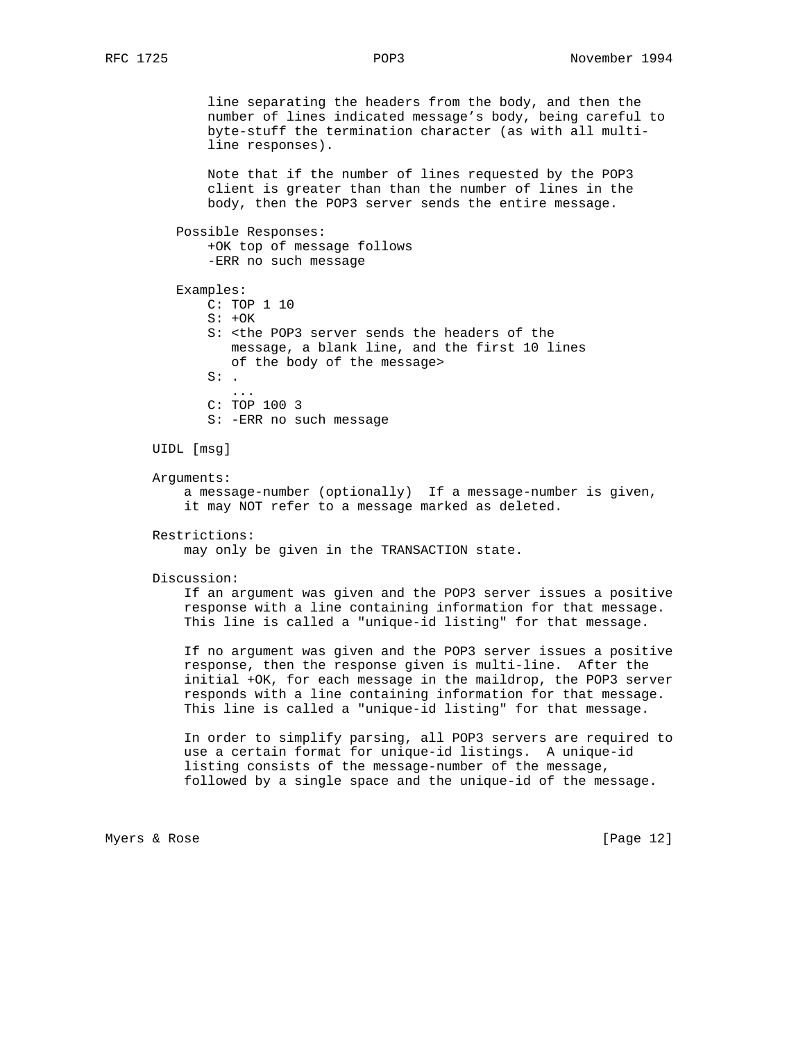line separating the headers from the body, and then the number of lines indicated message's body, being careful to byte-stuff the termination character (as with all multi line responses).

 Note that if the number of lines requested by the POP3 client is greater than than the number of lines in the body, then the POP3 server sends the entire message.

```
 Possible Responses:
```
 +OK top of message follows -ERR no such message

 Examples: C: TOP 1 10  $S: +OK$  S: <the POP3 server sends the headers of the message, a blank line, and the first 10 lines of the body of the message>  $S:$ . ... C: TOP 100 3 S: -ERR no such message

UIDL [msg]

Arguments:

 a message-number (optionally) If a message-number is given, it may NOT refer to a message marked as deleted.

Restrictions:

may only be given in the TRANSACTION state.

Discussion:

 If an argument was given and the POP3 server issues a positive response with a line containing information for that message. This line is called a "unique-id listing" for that message.

 If no argument was given and the POP3 server issues a positive response, then the response given is multi-line. After the initial +OK, for each message in the maildrop, the POP3 server responds with a line containing information for that message. This line is called a "unique-id listing" for that message.

 In order to simplify parsing, all POP3 servers are required to use a certain format for unique-id listings. A unique-id listing consists of the message-number of the message, followed by a single space and the unique-id of the message.

Myers & Rose [Page 12]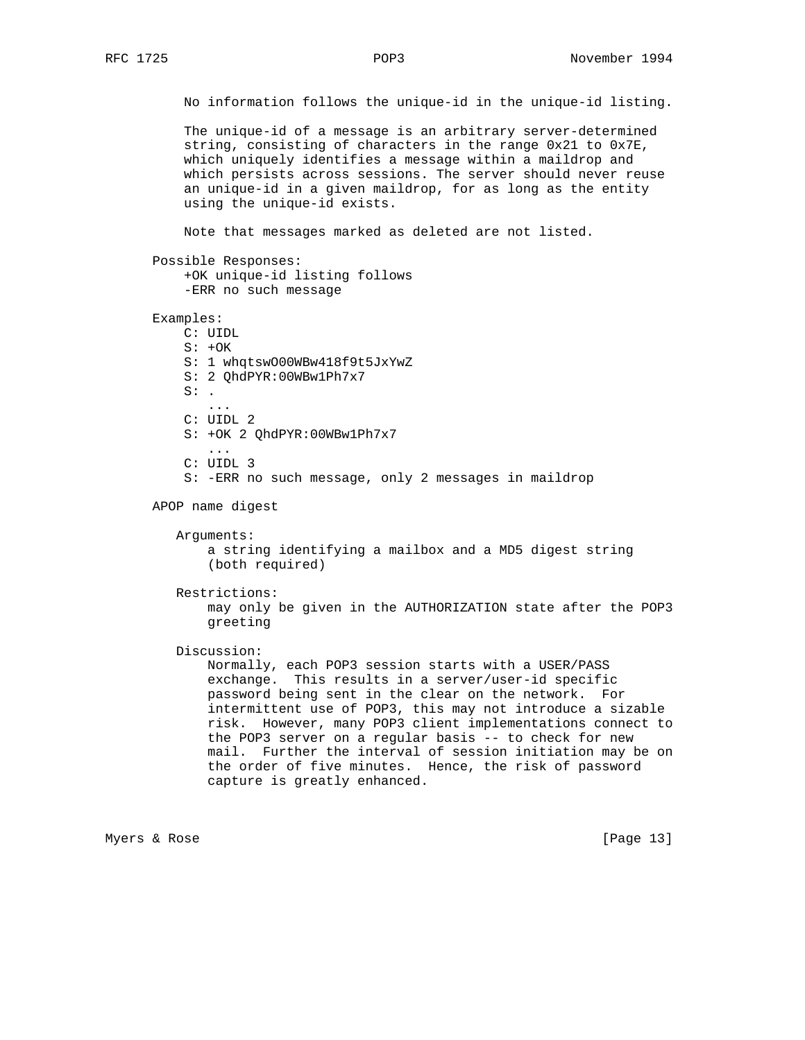No information follows the unique-id in the unique-id listing.

 The unique-id of a message is an arbitrary server-determined string, consisting of characters in the range 0x21 to 0x7E, which uniquely identifies a message within a maildrop and which persists across sessions. The server should never reuse an unique-id in a given maildrop, for as long as the entity using the unique-id exists.

Note that messages marked as deleted are not listed.

Possible Responses:

```
 +OK unique-id listing follows
 -ERR no such message
```
Examples:

 C: UIDL  $S: +OK$  S: 1 whqtswO00WBw418f9t5JxYwZ S: 2 QhdPYR:00WBw1Ph7x7  $S:$ . ... C: UIDL 2 S: +OK 2 QhdPYR:00WBw1Ph7x7 ... C: UIDL 3

S: -ERR no such message, only 2 messages in maildrop

APOP name digest

Arguments:

 a string identifying a mailbox and a MD5 digest string (both required)

Restrictions:

 may only be given in the AUTHORIZATION state after the POP3 greeting

Discussion:

 Normally, each POP3 session starts with a USER/PASS exchange. This results in a server/user-id specific password being sent in the clear on the network. For intermittent use of POP3, this may not introduce a sizable risk. However, many POP3 client implementations connect to the POP3 server on a regular basis -- to check for new mail. Further the interval of session initiation may be on the order of five minutes. Hence, the risk of password capture is greatly enhanced.

Myers & Rose [Page 13]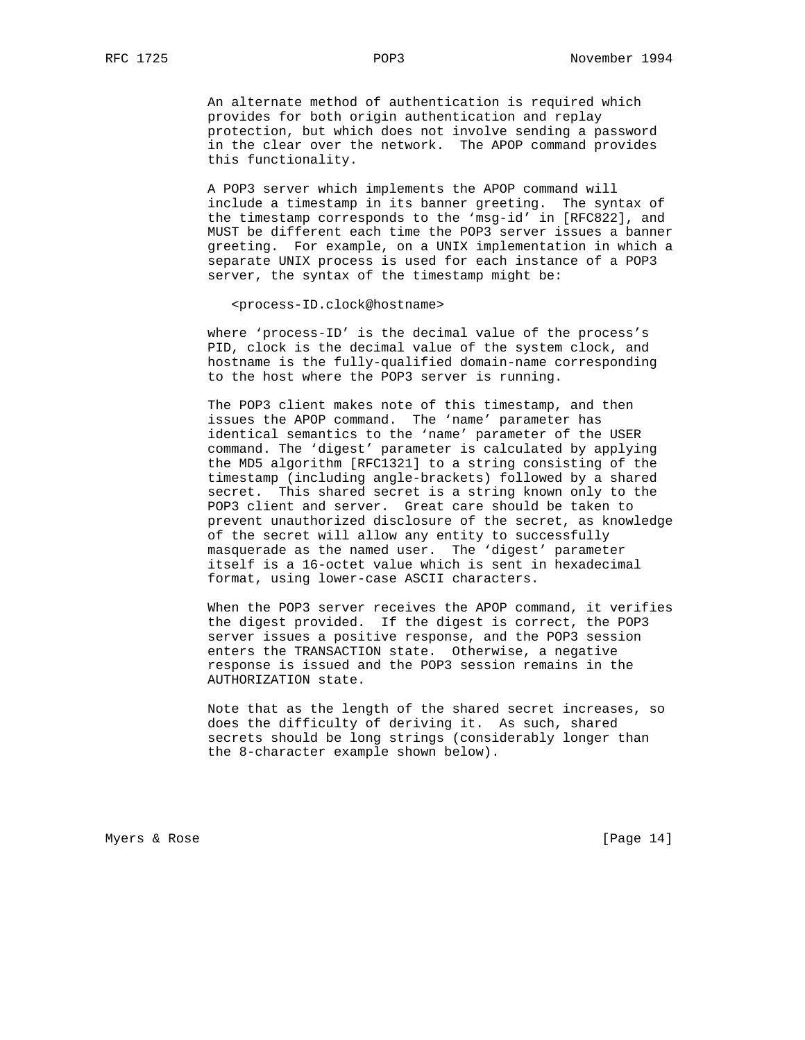An alternate method of authentication is required which provides for both origin authentication and replay protection, but which does not involve sending a password in the clear over the network. The APOP command provides this functionality.

 A POP3 server which implements the APOP command will include a timestamp in its banner greeting. The syntax of the timestamp corresponds to the 'msg-id' in [RFC822], and MUST be different each time the POP3 server issues a banner greeting. For example, on a UNIX implementation in which a separate UNIX process is used for each instance of a POP3 server, the syntax of the timestamp might be:

### <process-ID.clock@hostname>

 where 'process-ID' is the decimal value of the process's PID, clock is the decimal value of the system clock, and hostname is the fully-qualified domain-name corresponding to the host where the POP3 server is running.

 The POP3 client makes note of this timestamp, and then issues the APOP command. The 'name' parameter has identical semantics to the 'name' parameter of the USER command. The 'digest' parameter is calculated by applying the MD5 algorithm [RFC1321] to a string consisting of the timestamp (including angle-brackets) followed by a shared secret. This shared secret is a string known only to the POP3 client and server. Great care should be taken to prevent unauthorized disclosure of the secret, as knowledge of the secret will allow any entity to successfully masquerade as the named user. The 'digest' parameter itself is a 16-octet value which is sent in hexadecimal format, using lower-case ASCII characters.

 When the POP3 server receives the APOP command, it verifies the digest provided. If the digest is correct, the POP3 server issues a positive response, and the POP3 session enters the TRANSACTION state. Otherwise, a negative response is issued and the POP3 session remains in the AUTHORIZATION state.

 Note that as the length of the shared secret increases, so does the difficulty of deriving it. As such, shared secrets should be long strings (considerably longer than the 8-character example shown below).

Myers & Rose [Page 14]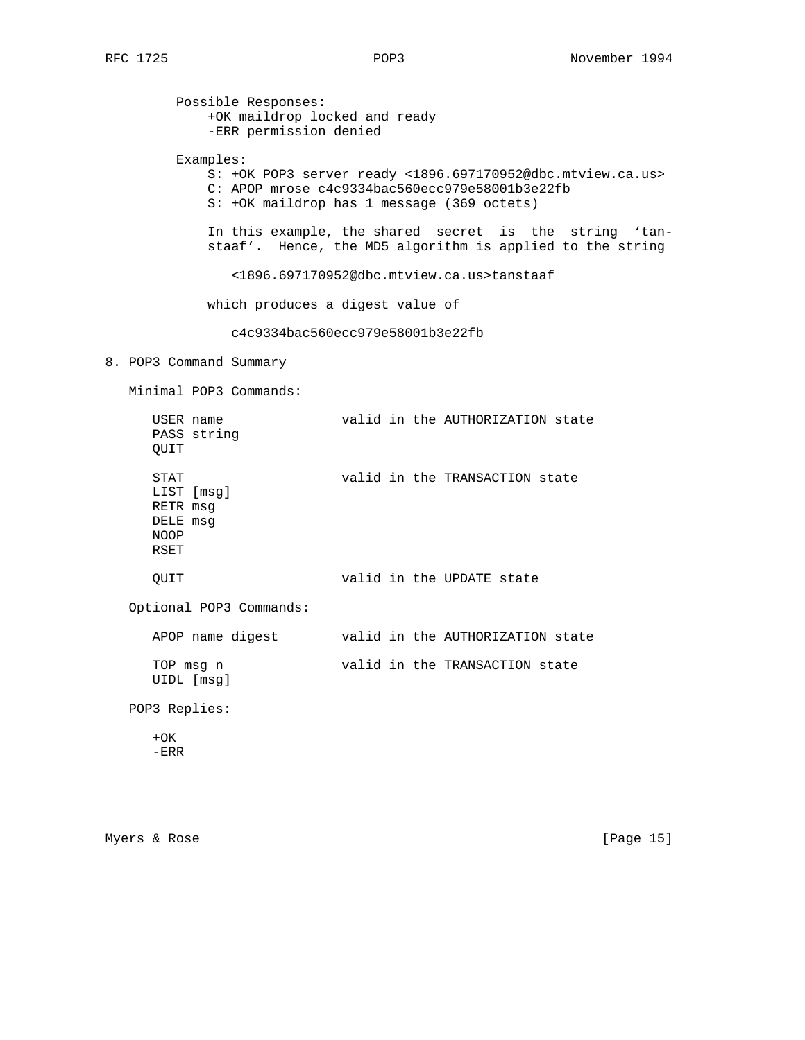Possible Responses: +OK maildrop locked and ready -ERR permission denied Examples: S: +OK POP3 server ready <1896.697170952@dbc.mtview.ca.us> C: APOP mrose c4c9334bac560ecc979e58001b3e22fb S: +OK maildrop has 1 message (369 octets) In this example, the shared secret is the string 'tan staaf'. Hence, the MD5 algorithm is applied to the string <1896.697170952@dbc.mtview.ca.us>tanstaaf which produces a digest value of c4c9334bac560ecc979e58001b3e22fb 8. POP3 Command Summary Minimal POP3 Commands: USER name valid in the AUTHORIZATION state PASS string QUIT STAT valid in the TRANSACTION state LIST [msg] RETR msg DELE msg NOOP RSET QUIT valid in the UPDATE state Optional POP3 Commands: APOP name digest valid in the AUTHORIZATION state TOP msg n valid in the TRANSACTION state UIDL [msg] POP3 Replies:  $+OK$ -ERR

Myers & Rose [Page 15]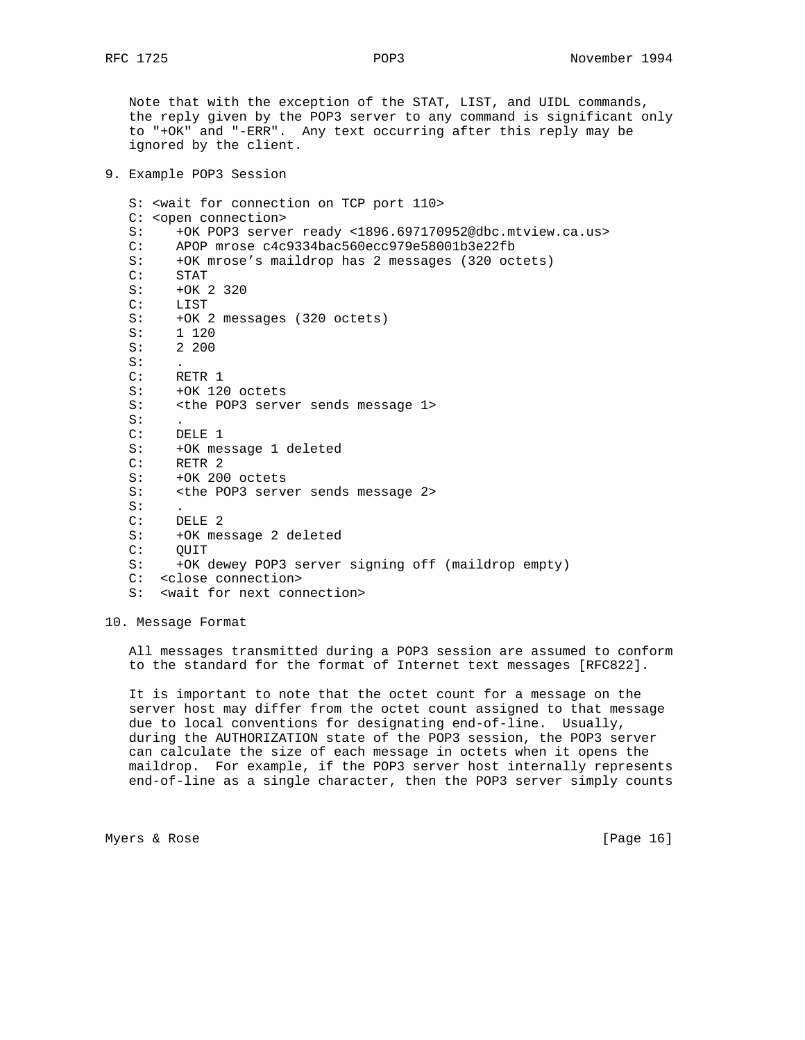Note that with the exception of the STAT, LIST, and UIDL commands, the reply given by the POP3 server to any command is significant only to "+OK" and "-ERR". Any text occurring after this reply may be ignored by the client.

9. Example POP3 Session

```
 S: <wait for connection on TCP port 110>
 C: <open connection>
 S: +OK POP3 server ready <1896.697170952@dbc.mtview.ca.us>
 C: APOP mrose c4c9334bac560ecc979e58001b3e22fb
 S: +OK mrose's maildrop has 2 messages (320 octets)
 C: STAT
 S: +OK 2 320
 C: LIST
 S: +OK 2 messages (320 octets)
 S: 1 120
 S: 2 200
S: C: RETR 1
 S: +OK 120 octets
 S: <the POP3 server sends message 1>
S: C: DELE 1
 S: +OK message 1 deleted
 C: RETR 2
 S: +OK 200 octets
 S: <the POP3 server sends message 2>
S: C: DELE 2
 S: +OK message 2 deleted
 C: QUIT
 S: +OK dewey POP3 server signing off (maildrop empty)
 C: <close connection>
 S: <wait for next connection>
```
10. Message Format

 All messages transmitted during a POP3 session are assumed to conform to the standard for the format of Internet text messages [RFC822].

 It is important to note that the octet count for a message on the server host may differ from the octet count assigned to that message due to local conventions for designating end-of-line. Usually, during the AUTHORIZATION state of the POP3 session, the POP3 server can calculate the size of each message in octets when it opens the maildrop. For example, if the POP3 server host internally represents end-of-line as a single character, then the POP3 server simply counts

Myers & Rose [Page 16]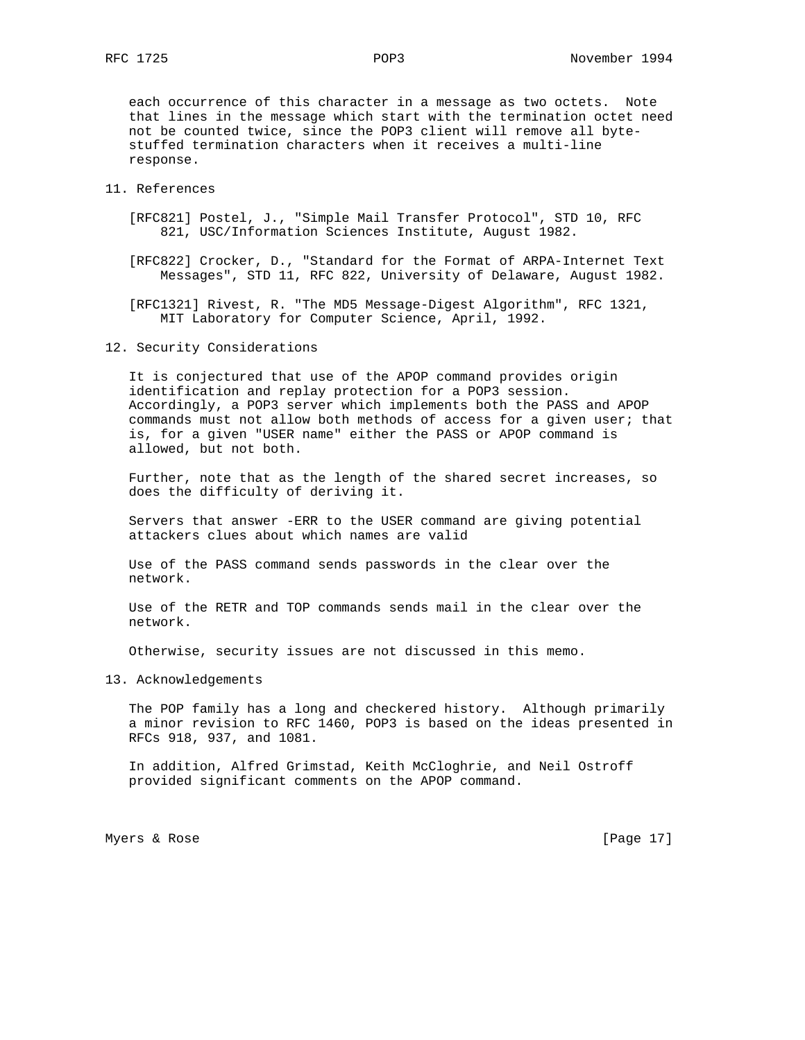each occurrence of this character in a message as two octets. Note that lines in the message which start with the termination octet need not be counted twice, since the POP3 client will remove all byte stuffed termination characters when it receives a multi-line response.

## 11. References

- [RFC821] Postel, J., "Simple Mail Transfer Protocol", STD 10, RFC 821, USC/Information Sciences Institute, August 1982.
- [RFC822] Crocker, D., "Standard for the Format of ARPA-Internet Text Messages", STD 11, RFC 822, University of Delaware, August 1982.

 [RFC1321] Rivest, R. "The MD5 Message-Digest Algorithm", RFC 1321, MIT Laboratory for Computer Science, April, 1992.

12. Security Considerations

 It is conjectured that use of the APOP command provides origin identification and replay protection for a POP3 session. Accordingly, a POP3 server which implements both the PASS and APOP commands must not allow both methods of access for a given user; that is, for a given "USER name" either the PASS or APOP command is allowed, but not both.

 Further, note that as the length of the shared secret increases, so does the difficulty of deriving it.

 Servers that answer -ERR to the USER command are giving potential attackers clues about which names are valid

 Use of the PASS command sends passwords in the clear over the network.

 Use of the RETR and TOP commands sends mail in the clear over the network.

Otherwise, security issues are not discussed in this memo.

13. Acknowledgements

 The POP family has a long and checkered history. Although primarily a minor revision to RFC 1460, POP3 is based on the ideas presented in RFCs 918, 937, and 1081.

 In addition, Alfred Grimstad, Keith McCloghrie, and Neil Ostroff provided significant comments on the APOP command.

Myers & Rose [Page 17]